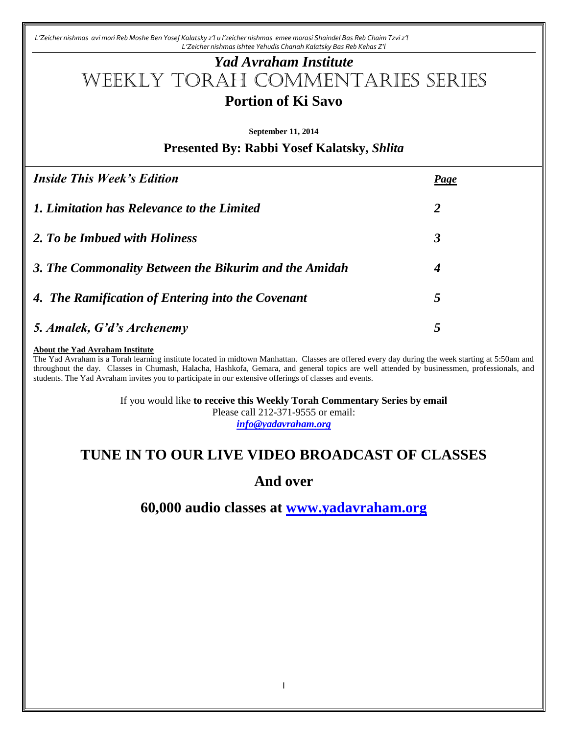*L'Zeicher nishmas avi mori Reb Moshe Ben Yosef Kalatsky z'l u l'zeicher nishmas emee morasi Shaindel Bas Reb Chaim Tzvi z'l L'Zeicher nishmas ishtee Yehudis Chanah Kalatsky Bas Reb Kehas Z'l*

# *Yad Avraham Institute* Weekly Torah Commentaries Series **Portion of Ki Savo**

**September 11, 2014**

**Presented By: Rabbi Yosef Kalatsky,** *Shlita*

| <b>Inside This Week's Edition</b>                     | Page |
|-------------------------------------------------------|------|
| 1. Limitation has Relevance to the Limited            | 2    |
| 2. To be Imbued with Holiness                         | 3    |
| 3. The Commonality Between the Bikurim and the Amidah | 4    |
| 4. The Ramification of Entering into the Covenant     | 5    |
| 5. Amalek, G'd's Archenemy                            | 5    |

#### **About the Yad Avraham Institute**

The Yad Avraham is a Torah learning institute located in midtown Manhattan. Classes are offered every day during the week starting at 5:50am and throughout the day. Classes in Chumash, Halacha, Hashkofa, Gemara, and general topics are well attended by businessmen, professionals, and students. The Yad Avraham invites you to participate in our extensive offerings of classes and events.

If you would like **to receive this Weekly Torah Commentary Series by email**

Please call 212-371-9555 or email:

*[info@yadavraham.org](mailto:info@yadavraham.org)*

# **TUNE IN TO OUR LIVE VIDEO BROADCAST OF CLASSES**

**And over**

**60,000 audio classes at [www.yadavraham.org](http://www.yadavraham.org/)**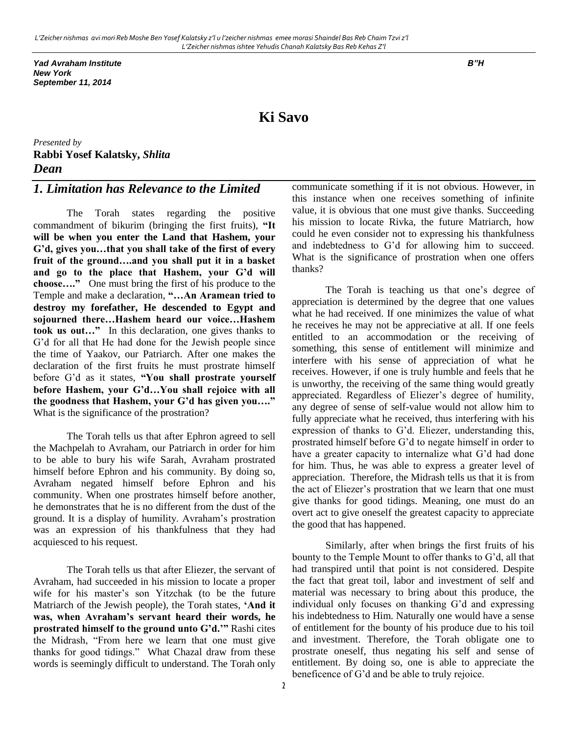*Yad Avraham Institute B"H New York September 11, 2014*

# **Ki Savo**

*Presented by* **Rabbi Yosef Kalatsky,** *Shlita Dean* 

### *1. Limitation has Relevance to the Limited*

The Torah states regarding the positive commandment of bikurim (bringing the first fruits), **"It will be when you enter the Land that Hashem, your G'd, gives you…that you shall take of the first of every fruit of the ground….and you shall put it in a basket and go to the place that Hashem, your G'd will choose…."** One must bring the first of his produce to the Temple and make a declaration, **"…An Aramean tried to destroy my forefather, He descended to Egypt and sojourned there…Hashem heard our voice…Hashem took us out…"** In this declaration, one gives thanks to G'd for all that He had done for the Jewish people since the time of Yaakov, our Patriarch. After one makes the declaration of the first fruits he must prostrate himself before G'd as it states, **"You shall prostrate yourself before Hashem, your G'd…You shall rejoice with all the goodness that Hashem, your G'd has given you…."** What is the significance of the prostration?

The Torah tells us that after Ephron agreed to sell the Machpelah to Avraham, our Patriarch in order for him to be able to bury his wife Sarah, Avraham prostrated himself before Ephron and his community. By doing so, Avraham negated himself before Ephron and his community. When one prostrates himself before another, he demonstrates that he is no different from the dust of the ground. It is a display of humility. Avraham's prostration was an expression of his thankfulness that they had acquiesced to his request.

The Torah tells us that after Eliezer, the servant of Avraham, had succeeded in his mission to locate a proper wife for his master's son Yitzchak (to be the future Matriarch of the Jewish people), the Torah states, **'And it was, when Avraham's servant heard their words, he prostrated himself to the ground unto G'd.'"** Rashi cites the Midrash, "From here we learn that one must give thanks for good tidings." What Chazal draw from these words is seemingly difficult to understand. The Torah only

communicate something if it is not obvious. However, in this instance when one receives something of infinite value, it is obvious that one must give thanks. Succeeding his mission to locate Rivka, the future Matriarch, how could he even consider not to expressing his thankfulness and indebtedness to G'd for allowing him to succeed. What is the significance of prostration when one offers thanks?

The Torah is teaching us that one's degree of appreciation is determined by the degree that one values what he had received. If one minimizes the value of what he receives he may not be appreciative at all. If one feels entitled to an accommodation or the receiving of something, this sense of entitlement will minimize and interfere with his sense of appreciation of what he receives. However, if one is truly humble and feels that he is unworthy, the receiving of the same thing would greatly appreciated. Regardless of Eliezer's degree of humility, any degree of sense of self-value would not allow him to fully appreciate what he received, thus interfering with his expression of thanks to G'd. Eliezer, understanding this, prostrated himself before G'd to negate himself in order to have a greater capacity to internalize what G'd had done for him. Thus, he was able to express a greater level of appreciation. Therefore, the Midrash tells us that it is from the act of Eliezer's prostration that we learn that one must give thanks for good tidings. Meaning, one must do an overt act to give oneself the greatest capacity to appreciate the good that has happened.

Similarly, after when brings the first fruits of his bounty to the Temple Mount to offer thanks to G'd, all that had transpired until that point is not considered. Despite the fact that great toil, labor and investment of self and material was necessary to bring about this produce, the individual only focuses on thanking G'd and expressing his indebtedness to Him. Naturally one would have a sense of entitlement for the bounty of his produce due to his toil and investment. Therefore, the Torah obligate one to prostrate oneself, thus negating his self and sense of entitlement. By doing so, one is able to appreciate the beneficence of G'd and be able to truly rejoice.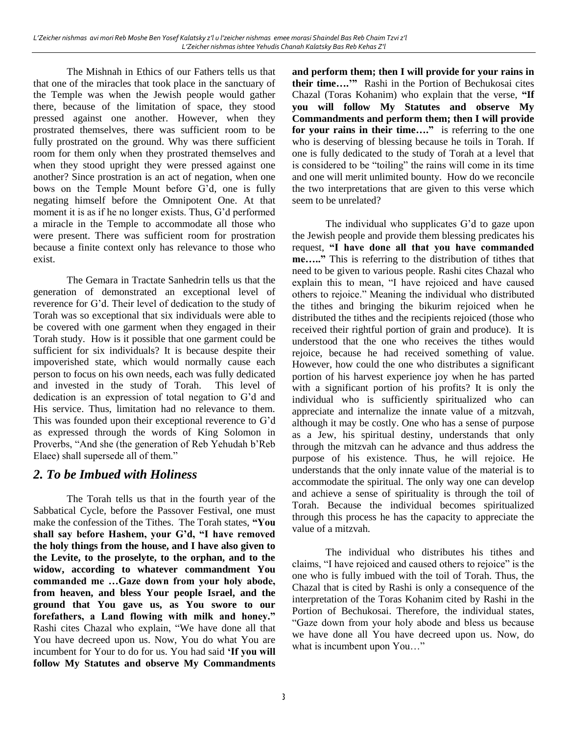The Mishnah in Ethics of our Fathers tells us that that one of the miracles that took place in the sanctuary of the Temple was when the Jewish people would gather there, because of the limitation of space, they stood pressed against one another. However, when they prostrated themselves, there was sufficient room to be fully prostrated on the ground. Why was there sufficient room for them only when they prostrated themselves and when they stood upright they were pressed against one another? Since prostration is an act of negation, when one bows on the Temple Mount before G'd, one is fully negating himself before the Omnipotent One. At that moment it is as if he no longer exists. Thus, G'd performed a miracle in the Temple to accommodate all those who were present. There was sufficient room for prostration because a finite context only has relevance to those who exist.

The Gemara in Tractate Sanhedrin tells us that the generation of demonstrated an exceptional level of reverence for G'd. Their level of dedication to the study of Torah was so exceptional that six individuals were able to be covered with one garment when they engaged in their Torah study. How is it possible that one garment could be sufficient for six individuals? It is because despite their impoverished state, which would normally cause each person to focus on his own needs, each was fully dedicated and invested in the study of Torah. This level of dedication is an expression of total negation to G'd and His service. Thus, limitation had no relevance to them. This was founded upon their exceptional reverence to G'd as expressed through the words of King Solomon in Proverbs, "And she (the generation of Reb Yehudah b'Reb Elaee) shall supersede all of them."

### *2. To be Imbued with Holiness*

The Torah tells us that in the fourth year of the Sabbatical Cycle, before the Passover Festival, one must make the confession of the Tithes. The Torah states, **"You shall say before Hashem, your G'd, "I have removed the holy things from the house, and I have also given to the Levite, to the proselyte, to the orphan, and to the widow, according to whatever commandment You commanded me …Gaze down from your holy abode, from heaven, and bless Your people Israel, and the ground that You gave us, as You swore to our forefathers, a Land flowing with milk and honey."** Rashi cites Chazal who explain, "We have done all that You have decreed upon us. Now, You do what You are incumbent for Your to do for us. You had said **'If you will follow My Statutes and observe My Commandments** 

**and perform them; then I will provide for your rains in their time….'"** Rashi in the Portion of Bechukosai cites Chazal (Toras Kohanim) who explain that the verse, **"If you will follow My Statutes and observe My Commandments and perform them; then I will provide for your rains in their time…."** is referring to the one who is deserving of blessing because he toils in Torah. If one is fully dedicated to the study of Torah at a level that is considered to be "toiling" the rains will come in its time and one will merit unlimited bounty. How do we reconcile the two interpretations that are given to this verse which seem to be unrelated?

The individual who supplicates G'd to gaze upon the Jewish people and provide them blessing predicates his request, **"I have done all that you have commanded me….."** This is referring to the distribution of tithes that need to be given to various people. Rashi cites Chazal who explain this to mean, "I have rejoiced and have caused others to rejoice." Meaning the individual who distributed the tithes and bringing the bikurim rejoiced when he distributed the tithes and the recipients rejoiced (those who received their rightful portion of grain and produce). It is understood that the one who receives the tithes would rejoice, because he had received something of value. However, how could the one who distributes a significant portion of his harvest experience joy when he has parted with a significant portion of his profits? It is only the individual who is sufficiently spiritualized who can appreciate and internalize the innate value of a mitzvah, although it may be costly. One who has a sense of purpose as a Jew, his spiritual destiny, understands that only through the mitzvah can he advance and thus address the purpose of his existence. Thus, he will rejoice. He understands that the only innate value of the material is to accommodate the spiritual. The only way one can develop and achieve a sense of spirituality is through the toil of Torah. Because the individual becomes spiritualized through this process he has the capacity to appreciate the value of a mitzvah.

The individual who distributes his tithes and claims, "I have rejoiced and caused others to rejoice" is the one who is fully imbued with the toil of Torah. Thus, the Chazal that is cited by Rashi is only a consequence of the interpretation of the Toras Kohanim cited by Rashi in the Portion of Bechukosai. Therefore, the individual states, "Gaze down from your holy abode and bless us because we have done all You have decreed upon us. Now, do what is incumbent upon You…"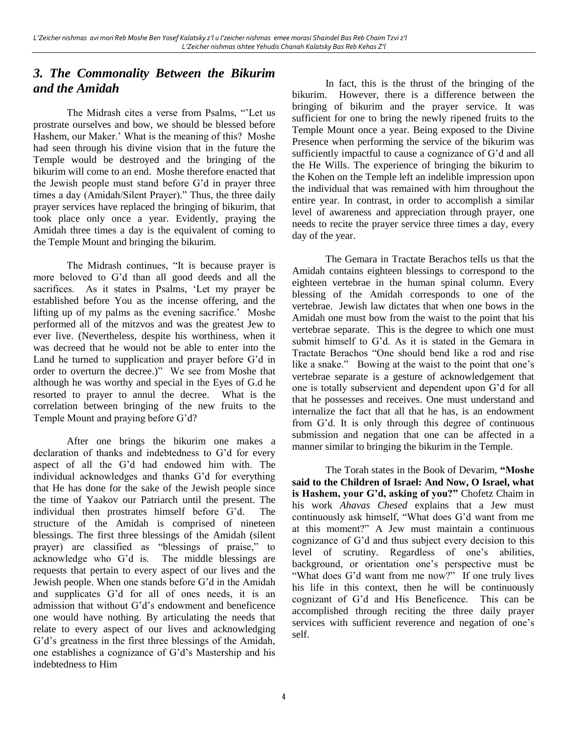# *3. The Commonality Between the Bikurim and the Amidah*

The Midrash cites a verse from Psalms, "'Let us prostrate ourselves and bow, we should be blessed before Hashem, our Maker.' What is the meaning of this? Moshe had seen through his divine vision that in the future the Temple would be destroyed and the bringing of the bikurim will come to an end. Moshe therefore enacted that the Jewish people must stand before G'd in prayer three times a day (Amidah/Silent Prayer)." Thus, the three daily prayer services have replaced the bringing of bikurim, that took place only once a year. Evidently, praying the Amidah three times a day is the equivalent of coming to the Temple Mount and bringing the bikurim.

The Midrash continues, "It is because prayer is more beloved to G'd than all good deeds and all the sacrifices. As it states in Psalms, 'Let my prayer be established before You as the incense offering, and the lifting up of my palms as the evening sacrifice.' Moshe performed all of the mitzvos and was the greatest Jew to ever live. (Nevertheless, despite his worthiness, when it was decreed that he would not be able to enter into the Land he turned to supplication and prayer before G'd in order to overturn the decree.)" We see from Moshe that although he was worthy and special in the Eyes of G.d he resorted to prayer to annul the decree. What is the correlation between bringing of the new fruits to the Temple Mount and praying before G'd?

After one brings the bikurim one makes a declaration of thanks and indebtedness to G'd for every aspect of all the G'd had endowed him with. The individual acknowledges and thanks G'd for everything that He has done for the sake of the Jewish people since the time of Yaakov our Patriarch until the present. The individual then prostrates himself before G'd. The structure of the Amidah is comprised of nineteen blessings. The first three blessings of the Amidah (silent prayer) are classified as "blessings of praise," to acknowledge who G'd is. The middle blessings are requests that pertain to every aspect of our lives and the Jewish people. When one stands before G'd in the Amidah and supplicates G'd for all of ones needs, it is an admission that without G'd's endowment and beneficence one would have nothing. By articulating the needs that relate to every aspect of our lives and acknowledging G'd's greatness in the first three blessings of the Amidah, one establishes a cognizance of G'd's Mastership and his indebtedness to Him

In fact, this is the thrust of the bringing of the bikurim. However, there is a difference between the bringing of bikurim and the prayer service. It was sufficient for one to bring the newly ripened fruits to the Temple Mount once a year. Being exposed to the Divine Presence when performing the service of the bikurim was sufficiently impactful to cause a cognizance of G'd and all the He Wills. The experience of bringing the bikurim to the Kohen on the Temple left an indelible impression upon the individual that was remained with him throughout the entire year. In contrast, in order to accomplish a similar level of awareness and appreciation through prayer, one needs to recite the prayer service three times a day, every day of the year.

The Gemara in Tractate Berachos tells us that the Amidah contains eighteen blessings to correspond to the eighteen vertebrae in the human spinal column. Every blessing of the Amidah corresponds to one of the vertebrae. Jewish law dictates that when one bows in the Amidah one must bow from the waist to the point that his vertebrae separate. This is the degree to which one must submit himself to G'd. As it is stated in the Gemara in Tractate Berachos "One should bend like a rod and rise like a snake." Bowing at the waist to the point that one's vertebrae separate is a gesture of acknowledgement that one is totally subservient and dependent upon G'd for all that he possesses and receives. One must understand and internalize the fact that all that he has, is an endowment from G'd. It is only through this degree of continuous submission and negation that one can be affected in a manner similar to bringing the bikurim in the Temple.

The Torah states in the Book of Devarim, **"Moshe said to the Children of Israel: And Now, O Israel, what is Hashem, your G'd, asking of you?"** Chofetz Chaim in his work *Ahavas Chesed* explains that a Jew must continuously ask himself, "What does G'd want from me at this moment?" A Jew must maintain a continuous cognizance of G'd and thus subject every decision to this level of scrutiny. Regardless of one's abilities, background, or orientation one's perspective must be "What does G'd want from me now?" If one truly lives his life in this context, then he will be continuously cognizant of G'd and His Beneficence. This can be accomplished through reciting the three daily prayer services with sufficient reverence and negation of one's self.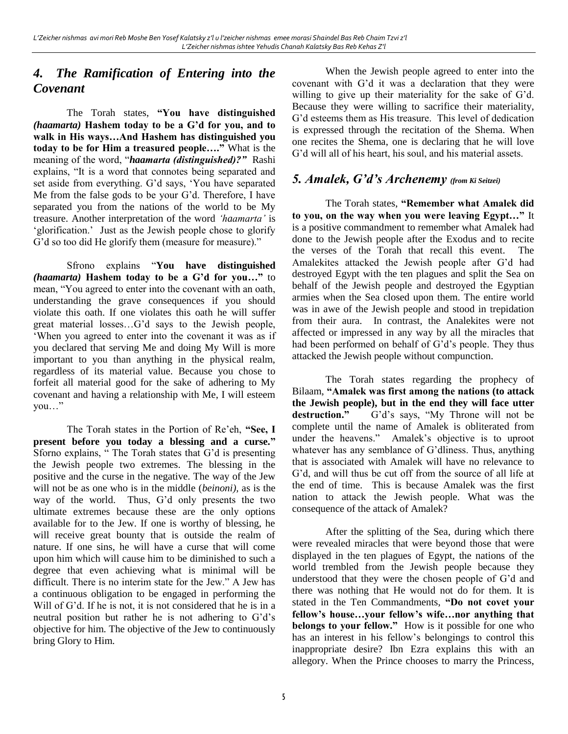# *4. The Ramification of Entering into the Covenant*

The Torah states, **"You have distinguished**  *(haamarta)* **Hashem today to be a G'd for you, and to walk in His ways…And Hashem has distinguished you today to be for Him a treasured people…."** What is the meaning of the word, "*haamarta (distinguished)?"* Rashi explains, "It is a word that connotes being separated and set aside from everything. G'd says, 'You have separated Me from the false gods to be your G'd. Therefore, I have separated you from the nations of the world to be My treasure. Another interpretation of the word *'haamarta'* is 'glorification.' Just as the Jewish people chose to glorify G'd so too did He glorify them (measure for measure)."

Sfrono explains "**You have distinguished**  *(haamarta)* **Hashem today to be a G'd for you…"** to mean, "You agreed to enter into the covenant with an oath, understanding the grave consequences if you should violate this oath. If one violates this oath he will suffer great material losses…G'd says to the Jewish people, 'When you agreed to enter into the covenant it was as if you declared that serving Me and doing My Will is more important to you than anything in the physical realm, regardless of its material value. Because you chose to forfeit all material good for the sake of adhering to My covenant and having a relationship with Me, I will esteem you…"

The Torah states in the Portion of Re'eh, **"See, I present before you today a blessing and a curse."** Sforno explains, " The Torah states that G'd is presenting the Jewish people two extremes. The blessing in the positive and the curse in the negative. The way of the Jew will not be as one who is in the middle (*beinoni),* as is the way of the world. Thus, G'd only presents the two ultimate extremes because these are the only options available for to the Jew. If one is worthy of blessing, he will receive great bounty that is outside the realm of nature. If one sins, he will have a curse that will come upon him which will cause him to be diminished to such a degree that even achieving what is minimal will be difficult. There is no interim state for the Jew." A Jew has a continuous obligation to be engaged in performing the Will of G'd. If he is not, it is not considered that he is in a neutral position but rather he is not adhering to G'd's objective for him. The objective of the Jew to continuously bring Glory to Him.

When the Jewish people agreed to enter into the covenant with G'd it was a declaration that they were willing to give up their materiality for the sake of G'd. Because they were willing to sacrifice their materiality, G'd esteems them as His treasure. This level of dedication is expressed through the recitation of the Shema. When one recites the Shema, one is declaring that he will love G'd will all of his heart, his soul, and his material assets.

### *5. Amalek, G'd's Archenemy (from Ki Seitzei)*

The Torah states, **"Remember what Amalek did to you, on the way when you were leaving Egypt…"** It is a positive commandment to remember what Amalek had done to the Jewish people after the Exodus and to recite the verses of the Torah that recall this event. The Amalekites attacked the Jewish people after G'd had destroyed Egypt with the ten plagues and split the Sea on behalf of the Jewish people and destroyed the Egyptian armies when the Sea closed upon them. The entire world was in awe of the Jewish people and stood in trepidation from their aura. In contrast, the Analekites were not affected or impressed in any way by all the miracles that had been performed on behalf of G'd's people. They thus attacked the Jewish people without compunction.

The Torah states regarding the prophecy of Bilaam, **"Amalek was first among the nations (to attack the Jewish people), but in the end they will face utter destruction."** G'd's says, "My Throne will not be complete until the name of Amalek is obliterated from under the heavens." Amalek's objective is to uproot whatever has any semblance of G'dliness. Thus, anything that is associated with Amalek will have no relevance to G'd, and will thus be cut off from the source of all life at the end of time. This is because Amalek was the first nation to attack the Jewish people. What was the consequence of the attack of Amalek?

After the splitting of the Sea, during which there were revealed miracles that were beyond those that were displayed in the ten plagues of Egypt, the nations of the world trembled from the Jewish people because they understood that they were the chosen people of G'd and there was nothing that He would not do for them. It is stated in the Ten Commandments, **"Do not covet your fellow's house…your fellow's wife…nor anything that belongs to your fellow."** How is it possible for one who has an interest in his fellow's belongings to control this inappropriate desire? Ibn Ezra explains this with an allegory. When the Prince chooses to marry the Princess,